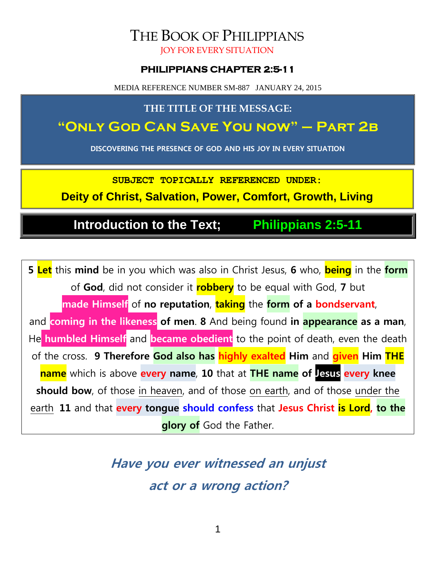# THE BOOK OF PHILIPPIANS

JOY FOR EVERY SITUATION

#### **PHILIPPIANS CHAPTER 2:5-11**

MEDIA REFERENCE NUMBER SM-887 JANUARY 24, 2015

**THE TITLE OF THE MESSAGE:**

### **"Only God Can Save You now" – Part 2b**

**DISCOVERING THE PRESENCE OF GOD AND HIS JOY IN EVERY SITUATION**

**SUBJECT TOPICALLY REFERENCED UNDER:**

**Deity of Christ, Salvation, Power, Comfort, Growth, Living**

**Introduction to the Text; Philippians 2:5-11**

**5 Let** this **mind** be in you which was also in Christ Jesus, **6** who, **being** in the **form** of **God**, did not consider it **robbery** to be equal with God, **7** but **made Himself** of **no reputation**, **taking** the **form of a bondservant**, and **coming in the likeness of men**. **8** And being found **in appearance as a man**, He **humbled Himself** and **became obedient** to the point of death, even the death of the cross. **9 Therefore God also has highly exalted Him** and **given Him THE name** which is above **every name**, **10** that at **THE name of Jesus every knee should bow**, of those in heaven, and of those on earth, and of those under the earth, **11** and that **every tongue should confess** that **Jesus Christ is Lord, to the glory of** God the Father.

> **Have you ever witnessed an unjust act or a wrong action?**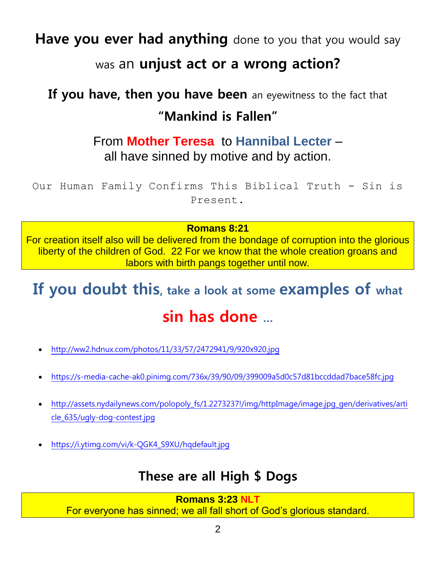**Have you ever had anything** done to you that you would say

### was an **unjust act or a wrong action?**

## **If you have, then you have been** an eyewitness to the fact that **"Mankind is Fallen"**

### From **Mother Teresa** to **Hannibal Lecter** – all have sinned by motive and by action.

Our Human Family Confirms This Biblical Truth - Sin is Present.

#### **Romans 8:21**

For creation itself also will be delivered from the bondage of corruption into the glorious liberty of the children of God. 22 For we know that the whole creation groans and labors with birth pangs together until now.

# **If you doubt this, take a look at some examples of what sin has done …**

- <http://ww2.hdnux.com/photos/11/33/57/2472941/9/920x920.jpg>
- <https://s-media-cache-ak0.pinimg.com/736x/39/90/09/399009a5d0c57d81bccddad7bace58fc.jpg>
- [http://assets.nydailynews.com/polopoly\\_fs/1.2273237!/img/httpImage/image.jpg\\_gen/derivatives/arti](http://assets.nydailynews.com/polopoly_fs/1.2273237!/img/httpImage/image.jpg_gen/derivatives/article_635/ugly-dog-contest.jpg) [cle\\_635/ugly-dog-contest.jpg](http://assets.nydailynews.com/polopoly_fs/1.2273237!/img/httpImage/image.jpg_gen/derivatives/article_635/ugly-dog-contest.jpg)
- [https://i.ytimg.com/vi/k-QGK4\\_S9XU/hqdefault.jpg](https://i.ytimg.com/vi/k-QGK4_S9XU/hqdefault.jpg)

### **These are all High \$ Dogs**

#### **Romans 3:23 NLT** For everyone has sinned; we all fall short of God's glorious standard.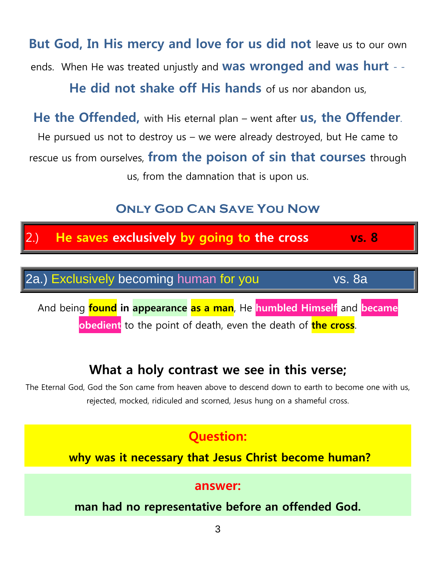**But God, In His mercy and love for us did not** leave us to our own ends. When He was treated unjustly and **was wronged and was hurt** - - **He did not shake off His hands** of us nor abandon us,

**He the Offended,** with His eternal plan – went after **us, the Offender**. He pursued us not to destroy us – we were already destroyed, but He came to rescue us from ourselves, **from the poison of sin that courses** through us, from the damnation that is upon us.

### **Only God Can Save You Now**



### **What a holy contrast we see in this verse;**

The Eternal God, God the Son came from heaven above to descend down to earth to become one with us, rejected, mocked, ridiculed and scorned, Jesus hung on a shameful cross.

### **Question:**

**why was it necessary that Jesus Christ become human?**

#### **answer:**

**man had no representative before an offended God.**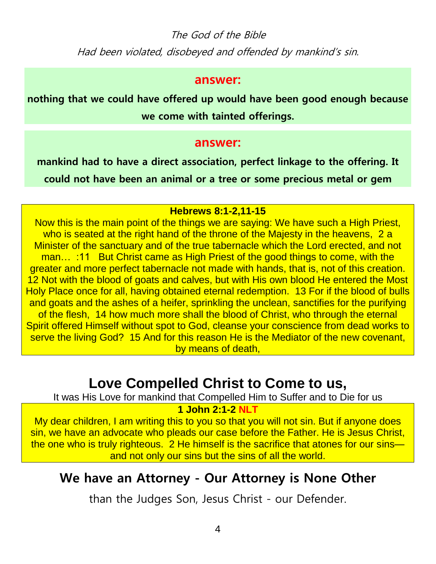The God of the Bible Had been violated, disobeyed and offended by mankind's sin.

#### **answer:**

**nothing that we could have offered up would have been good enough because we come with tainted offerings.**

#### **answer:**

**mankind had to have a direct association, perfect linkage to the offering. It could not have been an animal or a tree or some precious metal or gem**

#### **Hebrews 8:1-2,11-15**

Now this is the main point of the things we are saying: We have such a High Priest, who is seated at the right hand of the throne of the Majesty in the heavens, 2 a Minister of the sanctuary and of the true tabernacle which the Lord erected, and not man... :11 But Christ came as High Priest of the good things to come, with the greater and more perfect tabernacle not made with hands, that is, not of this creation. 12 Not with the blood of goats and calves, but with His own blood He entered the Most Holy Place once for all, having obtained eternal redemption. 13 For if the blood of bulls and goats and the ashes of a heifer, sprinkling the unclean, sanctifies for the purifying of the flesh, 14 how much more shall the blood of Christ, who through the eternal Spirit offered Himself without spot to God, cleanse your conscience from dead works to serve the living God? 15 And for this reason He is the Mediator of the new covenant, by means of death,

### **Love Compelled Christ to Come to us,**

It was His Love for mankind that Compelled Him to Suffer and to Die for us

#### **1 John 2:1-2 NLT**

My dear children, I am writing this to you so that you will not sin. But if anyone does sin, we have an advocate who pleads our case before the Father. He is Jesus Christ, the one who is truly righteous. 2 He himself is the sacrifice that atones for our sins and not only our sins but the sins of all the world.

### **We have an Attorney - Our Attorney is None Other**

than the Judges Son, Jesus Christ - our Defender.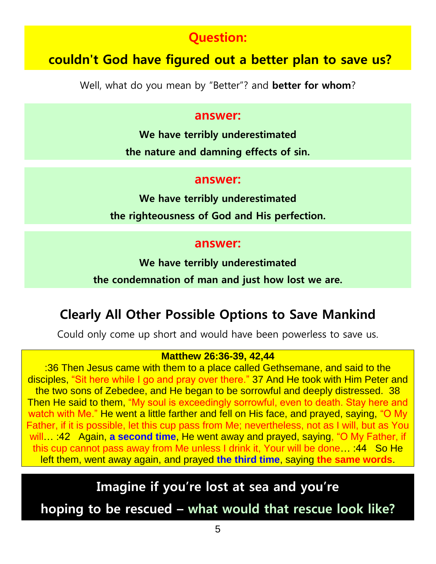### **Question:**

### **couldn't God have figured out a better plan to save us?**

Well, what do you mean by "Better"? and **better for whom**?

#### **answer:**

**We have terribly underestimated the nature and damning effects of sin.**

#### **answer:**

**We have terribly underestimated the righteousness of God and His perfection.**

#### **answer:**

**We have terribly underestimated**

**the condemnation of man and just how lost we are.**

### **Clearly All Other Possible Options to Save Mankind**

Could only come up short and would have been powerless to save us.

#### **Matthew 26:36-39, 42,44**

:36 Then Jesus came with them to a place called Gethsemane, and said to the disciples, "Sit here while I go and pray over there." 37 And He took with Him Peter and the two sons of Zebedee, and He began to be sorrowful and deeply distressed. 38 Then He said to them, "My soul is exceedingly sorrowful, even to death. Stay here and watch with Me." He went a little farther and fell on His face, and prayed, saying, "O My Father, if it is possible, let this cup pass from Me; nevertheless, not as I will, but as You will… :42 Again, **a second time**, He went away and prayed, saying, "O My Father, if this cup cannot pass away from Me unless I drink it, Your will be done… :44 So He left them, went away again, and prayed **the third time**, saying **the same words**.

### **Imagine if you're lost at sea and you're**

**hoping to be rescued – what would that rescue look like?**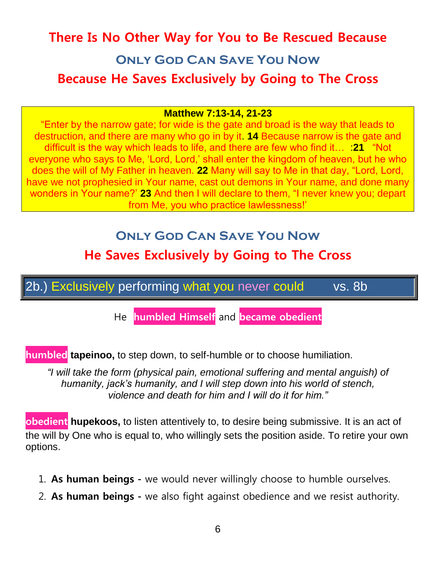## **There Is No Other Way for You to Be Rescued Because Only God Can Save You Now**

### **Because He Saves Exclusively by Going to The Cross**

#### **Matthew 7:13-14, 21-23**

"Enter by the narrow gate; for wide is the gate and broad is the way that leads to destruction, and there are many who go in by it. **14** Because narrow is the gate and difficult is the way which leads to life, and there are few who find it… :**21** "Not everyone who says to Me, 'Lord, Lord,' shall enter the kingdom of heaven, but he who does the will of My Father in heaven. **22** Many will say to Me in that day, "Lord, Lord, have we not prophesied in Your name, cast out demons in Your name, and done many wonders in Your name?' **23** And then I will declare to them, "I never knew you; depart from Me, you who practice lawlessness!'

### **Only God Can Save You Now**

### **He Saves Exclusively by Going to The Cross**

2b.) Exclusively performing what you never could vs. 8b

He **humbled Himself** and **became obedient**

**humbled tapeinoo,** to step down, to self-humble or to choose humiliation.

*"I will take the form (physical pain, emotional suffering and mental anguish) of humanity, jack's humanity, and I will step down into his world of stench, violence and death for him and I will do it for him."*

**obedient hupekoos,** to listen attentively to, to desire being submissive. It is an act of the will by One who is equal to, who willingly sets the position aside. To retire your own options.

- 1. **As human beings -** we would never willingly choose to humble ourselves.
- 2. **As human beings -** we also fight against obedience and we resist authority.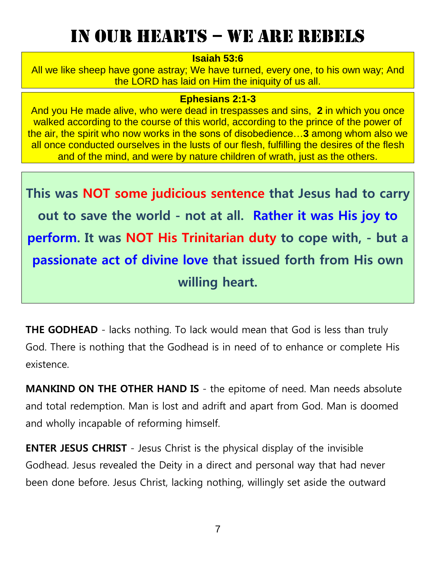## In our hearts – we are rebels

#### **Isaiah 53:6**

All we like sheep have gone astray; We have turned, every one, to his own way; And the LORD has laid on Him the iniquity of us all.

#### **Ephesians 2:1-3**

And you He made alive, who were dead in trespasses and sins, **2** in which you once walked according to the course of this world, according to the prince of the power of the air, the spirit who now works in the sons of disobedience…**3** among whom also we all once conducted ourselves in the lusts of our flesh, fulfilling the desires of the flesh and of the mind, and were by nature children of wrath, just as the others.

**This was NOT some judicious sentence that Jesus had to carry out to save the world - not at all. Rather it was His joy to perform. It was NOT His Trinitarian duty to cope with, - but a passionate act of divine love that issued forth from His own willing heart.**

**THE GODHEAD** - lacks nothing. To lack would mean that God is less than truly God. There is nothing that the Godhead is in need of to enhance or complete His existence.

**MANKIND ON THE OTHER HAND IS** - the epitome of need. Man needs absolute and total redemption. Man is lost and adrift and apart from God. Man is doomed and wholly incapable of reforming himself.

**ENTER JESUS CHRIST** - Jesus Christ is the physical display of the invisible Godhead. Jesus revealed the Deity in a direct and personal way that had never been done before. Jesus Christ, lacking nothing, willingly set aside the outward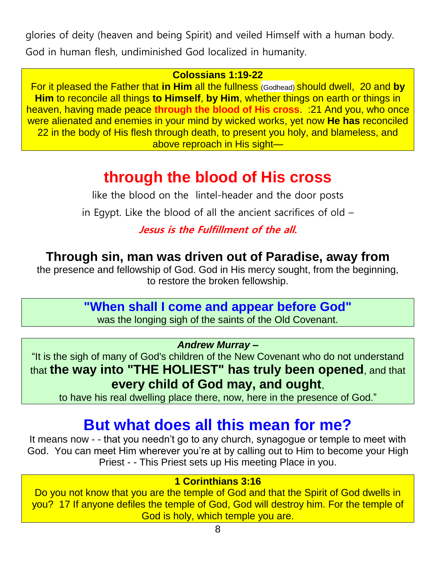glories of deity (heaven and being Spirit) and veiled Himself with a human body.

God in human flesh, undiminished God localized in humanity.

#### **Colossians 1:19-22**

For it pleased the Father that **in Him** all the fullness (Godhead) should dwell, 20 and **by Him** to reconcile all things **to Himself**, **by Him**, whether things on earth or things in heaven, having made peace **through the blood of His cross**. :21 And you, who once were alienated and enemies in your mind by wicked works, yet now **He has** reconciled 22 in the body of His flesh through death, to present you holy, and blameless, and above reproach in His sight—

## **through the blood of His cross**

like the blood on the lintel-header and the door posts

in Egypt. Like the blood of all the ancient sacrifices of old –

### **Jesus is the Fulfillment of the all.**

### **Through sin, man was driven out of Paradise, away from**

the presence and fellowship of God. God in His mercy sought, from the beginning, to restore the broken fellowship.

### **"When shall I come and appear before God"**

was the longing sigh of the saints of the Old Covenant.

*Andrew Murray –*

"It is the sigh of many of God's children of the New Covenant who do not understand that **the way into "THE HOLIEST" has truly been opened**, and that **every child of God may, and ought**,

to have his real dwelling place there, now, here in the presence of God."

## **But what does all this mean for me?**

It means now - - that you needn't go to any church, synagogue or temple to meet with God. You can meet Him wherever you're at by calling out to Him to become your High Priest - - This Priest sets up His meeting Place in you.

#### **1 Corinthians 3:16**

Do you not know that you are the temple of God and that the Spirit of God dwells in you? 17 If anyone defiles the temple of God, God will destroy him. For the temple of God is holy, which temple you are.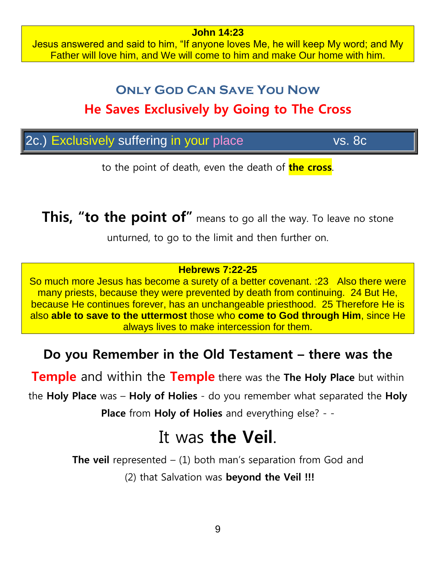Jesus answered and said to him, "If anyone loves Me, he will keep My word; and My Father will love him, and We will come to him and make Our home with him.

**John 14:23**

## **Only God Can Save You Now He Saves Exclusively by Going to The Cross**

|  |  |  | 2c.) Exclusively suffering in your place | <b>vs. 8c</b> |
|--|--|--|------------------------------------------|---------------|
|--|--|--|------------------------------------------|---------------|

to the point of death, even the death of **the cross**.

**This, "to the point of"** means to go all the way. To leave no stone

unturned, to go to the limit and then further on.

#### **Hebrews 7:22-25**

So much more Jesus has become a surety of a better covenant. :23 Also there were many priests, because they were prevented by death from continuing. 24 But He, because He continues forever, has an unchangeable priesthood. 25 Therefore He is also **able to save to the uttermost** those who **come to God through Him**, since He always lives to make intercession for them.

### **Do you Remember in the Old Testament – there was the**

**Temple** and within the **Temple** there was the **The Holy Place** but within

the **Holy Place** was – **Holy of Holies** - do you remember what separated the **Holy** 

**Place** from **Holy of Holies** and everything else? - -

## It was **the Veil**.

**The veil** represented – (1) both man's separation from God and (2) that Salvation was **beyond the Veil !!!**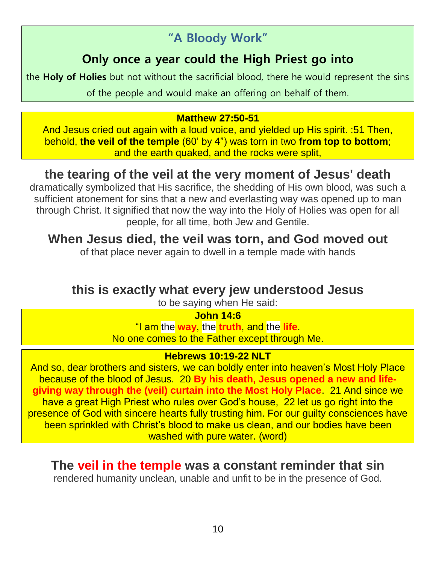### **"A Bloody Work"**

### **Only once a year could the High Priest go into**

the **Holy of Holies** but not without the sacrificial blood, there he would represent the sins

of the people and would make an offering on behalf of them.

#### **Matthew 27:50-51**

And Jesus cried out again with a loud voice, and yielded up His spirit. :51 Then, behold, **the veil of the temple** (60' by 4") was torn in two **from top to bottom**; and the earth quaked, and the rocks were split,

### **the tearing of the veil at the very moment of Jesus' death**

dramatically symbolized that His sacrifice, the shedding of His own blood, was such a sufficient atonement for sins that a new and everlasting way was opened up to man through Christ. It signified that now the way into the Holy of Holies was open for all people, for all time, both Jew and Gentile.

### **When Jesus died, the veil was torn, and God moved out**

of that place never again to dwell in a temple made with hands

### **this is exactly what every jew understood Jesus**

to be saying when He said:

#### **John 14:6**

"I am the **way**, the **truth**, and the **life**. No one comes to the Father except through Me.

#### **Hebrews 10:19-22 NLT**

And so, dear brothers and sisters, we can boldly enter into heaven's Most Holy Place because of the blood of Jesus. 20 **By his death, Jesus opened a new and lifegiving way through the (veil) curtain into the Most Holy Place**. 21 And since we have a great High Priest who rules over God's house, 22 let us go right into the presence of God with sincere hearts fully trusting him. For our guilty consciences have been sprinkled with Christ's blood to make us clean, and our bodies have been washed with pure water. (word)

### **The veil in the temple was a constant reminder that sin**

rendered humanity unclean, unable and unfit to be in the presence of God.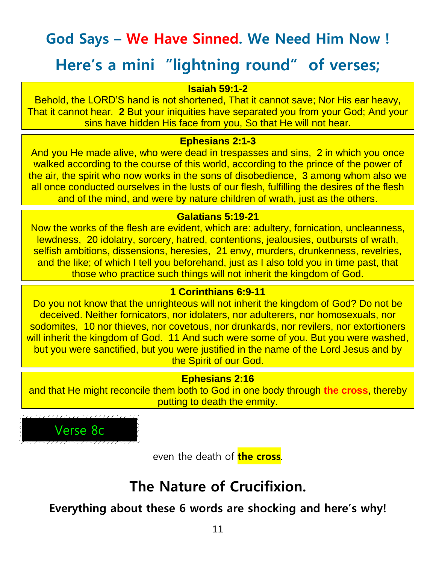# **God Says – We Have Sinned. We Need Him Now !**

## **Here's a mini "lightning round" of verses;**

#### **Isaiah 59:1-2**

Behold, the LORD'S hand is not shortened, That it cannot save; Nor His ear heavy, That it cannot hear. **2** But your iniquities have separated you from your God; And your sins have hidden His face from you, So that He will not hear.

#### **Ephesians 2:1-3**

And you He made alive, who were dead in trespasses and sins, 2 in which you once walked according to the course of this world, according to the prince of the power of the air, the spirit who now works in the sons of disobedience, 3 among whom also we all once conducted ourselves in the lusts of our flesh, fulfilling the desires of the flesh and of the mind, and were by nature children of wrath, just as the others.

#### **Galatians 5:19-21**

Now the works of the flesh are evident, which are: adultery, fornication, uncleanness, lewdness, 20 idolatry, sorcery, hatred, contentions, jealousies, outbursts of wrath, selfish ambitions, dissensions, heresies, 21 envy, murders, drunkenness, revelries, and the like; of which I tell you beforehand, just as I also told you in time past, that those who practice such things will not inherit the kingdom of God.

#### **1 Corinthians 6:9-11**

Do you not know that the unrighteous will not inherit the kingdom of God? Do not be deceived. Neither fornicators, nor idolaters, nor adulterers, nor homosexuals, nor sodomites, 10 nor thieves, nor covetous, nor drunkards, nor revilers, nor extortioners will inherit the kingdom of God. 11 And such were some of you. But you were washed, but you were sanctified, but you were justified in the name of the Lord Jesus and by the Spirit of our God.

#### **Ephesians 2:16**

and that He might reconcile them both to God in one body through **the cross**, thereby putting to death the enmity.



even the death of **the cross**.

## **The Nature of Crucifixion.**

**Everything about these 6 words are shocking and here's why!**